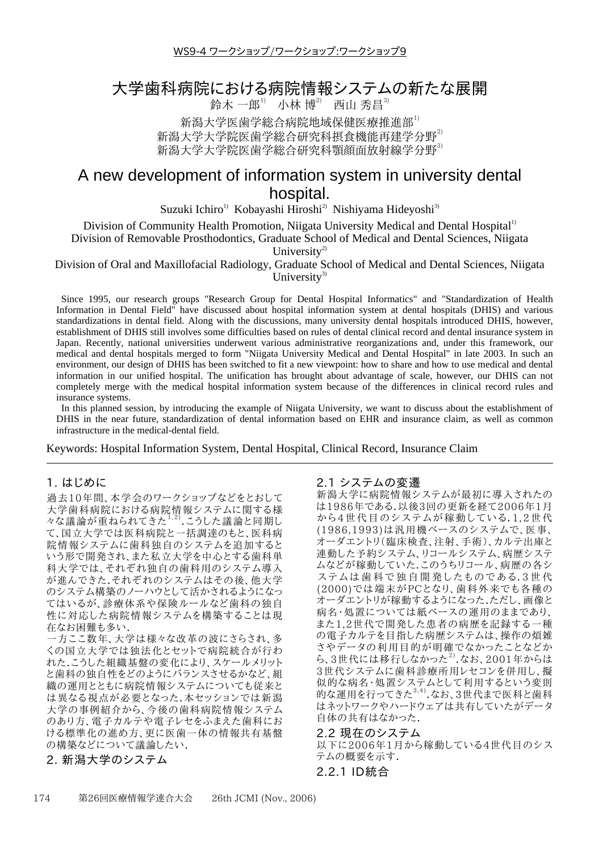WS9-4 ワークショップ/ワークショップ:ワークショップ9

## 大学歯科病院における病院情報システムの新たな展開

鈴木 一郎 $1)$  小林 博 $2)$  西山 秀昌 $3)$ 

新潟大学医歯学総合病院地域保健医療推進部<sup>1)</sup> 新潟大学大学院医歯学総合研究科摂食機能再建学分野<sup>2)</sup> 新潟大学大学院医歯学総合研究科顎顔面放射線学分野<sup>3)</sup>

# A new development of information system in university dental hospital.

Suzuki Ichiro<sup>1)</sup> Kobayashi Hiroshi<sup>2)</sup> Nishiyama Hideyoshi<sup>3)</sup>

Division of Community Health Promotion, Niigata University Medical and Dental Hospital<sup>1)</sup>

Division of Removable Prosthodontics, Graduate School of Medical and Dental Sciences, Niigata

University<sup>2)</sup>

Division of Oral and Maxillofacial Radiology, Graduate School of Medical and Dental Sciences, Niigata University<sup>3)</sup>

Since 1995, our research groups "Research Group for Dental Hospital Informatics" and "Standardization of Health Information in Dental Field" have discussed about hospital information system at dental hospitals (DHIS) and various standardizations in dental field. Along with the discussions, many university dental hospitals introduced DHIS, however, establishment of DHIS still involves some difficulties based on rules of dental clinical record and dental insurance system in Japan. Recently, national universities underwent various administrative reorganizations and, under this framework, our medical and dental hospitals merged to form "Niigata University Medical and Dental Hospital" in late 2003. In such an environment, our design of DHIS has been switched to fit a new viewpoint: how to share and how to use medical and dental information in our unified hospital. The unification has brought about advantage of scale, however, our DHIS can not completely merge with the medical hospital information system because of the differences in clinical record rules and insurance systems.

In this planned session, by introducing the example of Niigata University, we want to discuss about the establishment of DHIS in the near future, standardization of dental information based on EHR and insurance claim, as well as common infrastructure in the medical-dental field.

Keywords: Hospital Information System, Dental Hospital, Clinical Record, Insurance Claim

### 1. はじめに

過去10年間、本学会のワークショップなどをとおして 大学歯科病院における病院情報システムに関する様 々な議論が重ねられてきた<sup>1,2)</sup>.こうした議論と同期し て、国立大学では医科病院と一括調達のもと、医科病 院情報システムに歯科独自のシステムを追加すると いう形で開発され、また私立大学を中心とする歯科単 科大学では、それぞれ独自の歯科用のシステム導入 が進んできた.それぞれのシステムはその後、他大学 のシステム構築のノーハウとして活かされるようになっ てはいるが、診療体系や保険ルールなど歯科の独自 性に対応した病院情報システムを構築することは現 在なお困難も多い.

一方ここ数年、大学は様々な改革の波にさらされ、多 くの国立大学では独法化とセットで病院統合が行わ れた.こうした組織基盤の変化により、スケールメリット と歯科の独自性をどのようにバランスさせるかなど、組 織の運用とともに病院情報システムについても従来と は異なる視点が必要となった.本セッションでは新潟 大学の事例紹介から、今後の歯科病院情報システム のあり方、電子カルテや電子レセをふまえた歯科にお ける標準化の進め方、更に医歯一体の情報共有基盤 の構築などについて議論したい.

## 2. 新潟大学のシステム

## 2.1 システムの変遷

新潟大学に病院情報システムが最初に導入されたの は1986年である.以後3回の更新を経て2006年1月 から4世代目のシステムが稼動している.1.2世代 (1986.1993)は汎用機ベースのシステムで、医事、 オーダエントリ(臨床検査、注射、手術)、カルテ出庫と 連動した予約システム、リコールシステム、病歴システ ムなどが稼動していた.このうちリコール、病歴の各シ ステムは歯科で独自開発したものである.3世代 (2000)では端末がPCとなり、歯科外来でも各種の オーダエントリが稼動するようになった.ただし、画像と 病名・処置については紙ベースの運用のままであり、 また1,2世代で開発した患者の病歴を記録する一種 の電子カルテを目指した病歴システムは、操作の煩雑 さやデータの利用目的が明確でなかったことなどか こ、<sup>ノー・シ</sup>ットリロロ、 <sub>カ</sub>語こ 3~ シにここ 3こ。<br>ら、3世代には移行しなかった<sup>2)</sup>なお、2001年からは 3世代システムに歯科診療所用レセコンを併用し、擬 似的な病名・処置システムとして利用するという変則 的な運用を行ってきた<sup>3,4)</sup>.なお、3世代まで医科と歯科 はネットワークやハードウェアは共有していたがデータ 自体の共有はなかった.

2.2 現在のシステム

以下に2006年1月から稼動している4世代目のシス テムの概要を示す.

## 2.2.1 ID統合